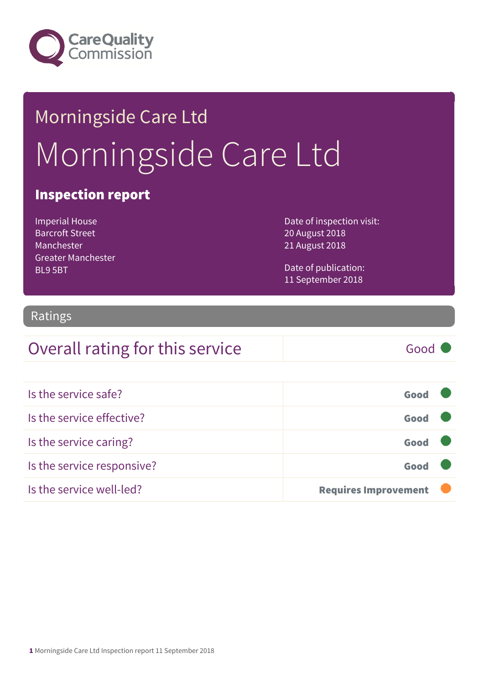

# Morningside Care Ltd Morningside Care Ltd

#### Inspection report

Imperial House Barcroft Street Manchester Greater Manchester BL9 5BT

Date of inspection visit: 20 August 2018 21 August 2018

Date of publication: 11 September 2018

#### Ratings

#### Overall rating for this service Good

| Is the service safe?       | Good                        |
|----------------------------|-----------------------------|
| Is the service effective?  | Good                        |
| Is the service caring?     | Good                        |
| Is the service responsive? | Good                        |
| Is the service well-led?   | <b>Requires Improvement</b> |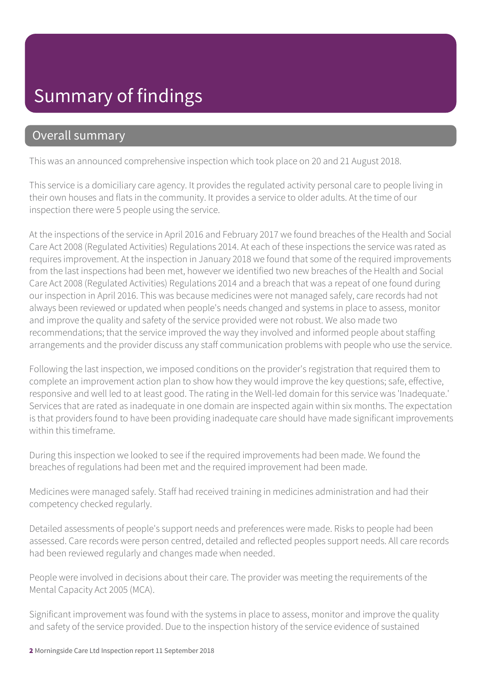## Summary of findings

#### Overall summary

This was an announced comprehensive inspection which took place on 20 and 21 August 2018.

This service is a domiciliary care agency. It provides the regulated activity personal care to people living in their own houses and flats in the community. It provides a service to older adults. At the time of our inspection there were 5 people using the service.

At the inspections of the service in April 2016 and February 2017 we found breaches of the Health and Social Care Act 2008 (Regulated Activities) Regulations 2014. At each of these inspections the service was rated as requires improvement. At the inspection in January 2018 we found that some of the required improvements from the last inspections had been met, however we identified two new breaches of the Health and Social Care Act 2008 (Regulated Activities) Regulations 2014 and a breach that was a repeat of one found during our inspection in April 2016. This was because medicines were not managed safely, care records had not always been reviewed or updated when people's needs changed and systems in place to assess, monitor and improve the quality and safety of the service provided were not robust. We also made two recommendations; that the service improved the way they involved and informed people about staffing arrangements and the provider discuss any staff communication problems with people who use the service.

Following the last inspection, we imposed conditions on the provider's registration that required them to complete an improvement action plan to show how they would improve the key questions; safe, effective, responsive and well led to at least good. The rating in the Well-led domain for this service was 'Inadequate.' Services that are rated as inadequate in one domain are inspected again within six months. The expectation is that providers found to have been providing inadequate care should have made significant improvements within this timeframe.

During this inspection we looked to see if the required improvements had been made. We found the breaches of regulations had been met and the required improvement had been made.

Medicines were managed safely. Staff had received training in medicines administration and had their competency checked regularly.

Detailed assessments of people's support needs and preferences were made. Risks to people had been assessed. Care records were person centred, detailed and reflected peoples support needs. All care records had been reviewed regularly and changes made when needed.

People were involved in decisions about their care. The provider was meeting the requirements of the Mental Capacity Act 2005 (MCA).

Significant improvement was found with the systems in place to assess, monitor and improve the quality and safety of the service provided. Due to the inspection history of the service evidence of sustained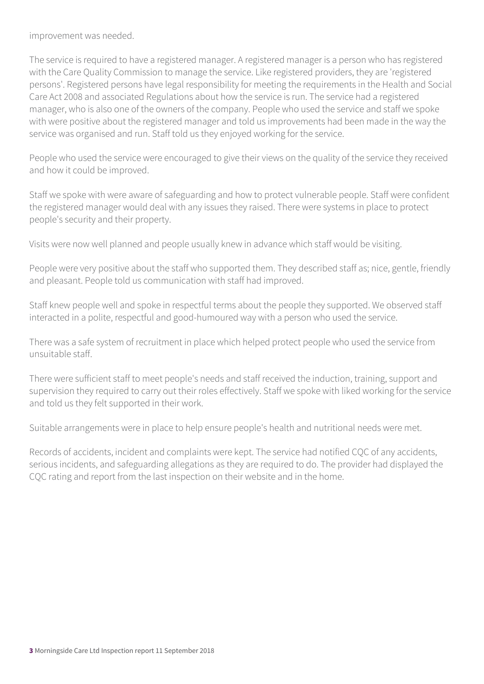improvement was needed.

The service is required to have a registered manager. A registered manager is a person who has registered with the Care Quality Commission to manage the service. Like registered providers, they are 'registered persons'. Registered persons have legal responsibility for meeting the requirements in the Health and Social Care Act 2008 and associated Regulations about how the service is run. The service had a registered manager, who is also one of the owners of the company. People who used the service and staff we spoke with were positive about the registered manager and told us improvements had been made in the way the service was organised and run. Staff told us they enjoyed working for the service.

People who used the service were encouraged to give their views on the quality of the service they received and how it could be improved.

Staff we spoke with were aware of safeguarding and how to protect vulnerable people. Staff were confident the registered manager would deal with any issues they raised. There were systems in place to protect people's security and their property.

Visits were now well planned and people usually knew in advance which staff would be visiting.

People were very positive about the staff who supported them. They described staff as; nice, gentle, friendly and pleasant. People told us communication with staff had improved.

Staff knew people well and spoke in respectful terms about the people they supported. We observed staff interacted in a polite, respectful and good-humoured way with a person who used the service.

There was a safe system of recruitment in place which helped protect people who used the service from unsuitable staff.

There were sufficient staff to meet people's needs and staff received the induction, training, support and supervision they required to carry out their roles effectively. Staff we spoke with liked working for the service and told us they felt supported in their work.

Suitable arrangements were in place to help ensure people's health and nutritional needs were met.

Records of accidents, incident and complaints were kept. The service had notified CQC of any accidents, serious incidents, and safeguarding allegations as they are required to do. The provider had displayed the CQC rating and report from the last inspection on their website and in the home.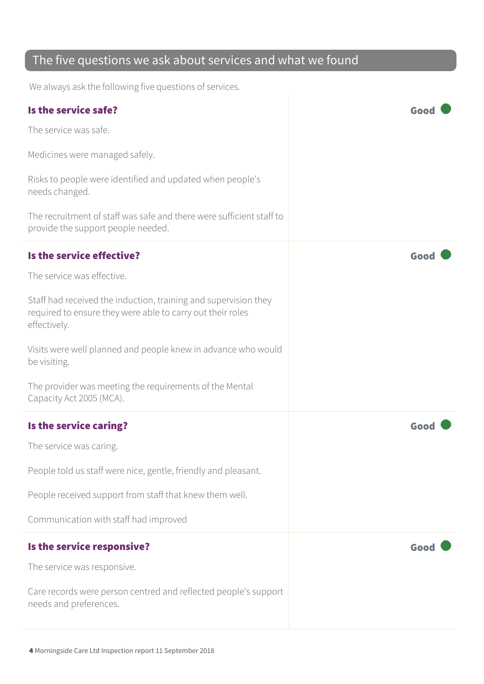#### The five questions we ask about services and what we found

We always ask the following five questions of services.

| Is the service safe?                                                                                                                          | Goo  |
|-----------------------------------------------------------------------------------------------------------------------------------------------|------|
| The service was safe.                                                                                                                         |      |
| Medicines were managed safely.                                                                                                                |      |
| Risks to people were identified and updated when people's<br>needs changed.                                                                   |      |
| The recruitment of staff was safe and there were sufficient staff to<br>provide the support people needed.                                    |      |
| Is the service effective?                                                                                                                     | Good |
| The service was effective.                                                                                                                    |      |
| Staff had received the induction, training and supervision they<br>required to ensure they were able to carry out their roles<br>effectively. |      |
| Visits were well planned and people knew in advance who would<br>be visiting.                                                                 |      |
| The provider was meeting the requirements of the Mental<br>Capacity Act 2005 (MCA).                                                           |      |
| Is the service caring?                                                                                                                        | Goo  |
| The service was caring.                                                                                                                       |      |
| People told us staff were nice, gentle, friendly and pleasant.                                                                                |      |
| People received support from staff that knew them well.                                                                                       |      |
| Communication with staff had improved                                                                                                         |      |
| Is the service responsive?                                                                                                                    | Good |
| The service was responsive.                                                                                                                   |      |
| Care records were person centred and reflected people's support<br>needs and preferences.                                                     |      |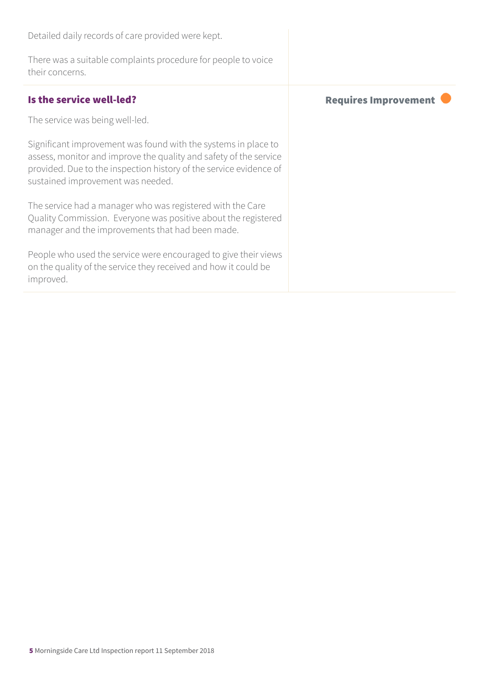Detailed daily records of care provided were kept.

There was a suitable complaints procedure for people to voice their concerns.

The service was being well-led.

Significant improvement was found with the systems in place to assess, monitor and improve the quality and safety of the service provided. Due to the inspection history of the service evidence of sustained improvement was needed.

The service had a manager who was registered with the Care Quality Commission. Everyone was positive about the registered manager and the improvements that had been made.

People who used the service were encouraged to give their views on the quality of the service they received and how it could be improved.

Is the service well-led?  $\blacksquare$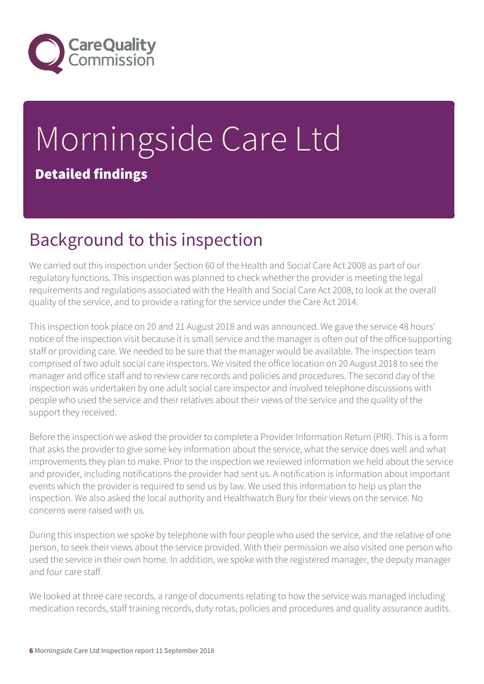

# Morningside Care Ltd Detailed findings

## Background to this inspection

We carried out this inspection under Section 60 of the Health and Social Care Act 2008 as part of our regulatory functions. This inspection was planned to check whether the provider is meeting the legal requirements and regulations associated with the Health and Social Care Act 2008, to look at the overall quality of the service, and to provide a rating for the service under the Care Act 2014.

This inspection took place on 20 and 21 August 2018 and was announced. We gave the service 48 hours' notice of the inspection visit because it is small service and the manager is often out of the office supporting staff or providing care. We needed to be sure that the manager would be available. The inspection team comprised of two adult social care inspectors. We visited the office location on 20 August 2018 to see the manager and office staff and to review care records and policies and procedures. The second day of the inspection was undertaken by one adult social care inspector and involved telephone discussions with people who used the service and their relatives about their views of the service and the quality of the support they received.

Before the inspection we asked the provider to complete a Provider Information Return (PIR). This is a form that asks the provider to give some key information about the service, what the service does well and what improvements they plan to make. Prior to the inspection we reviewed information we held about the service and provider, including notifications the provider had sent us. A notification is information about important events which the provider is required to send us by law. We used this information to help us plan the inspection. We also asked the local authority and Healthwatch Bury for their views on the service. No concerns were raised with us.

During this inspection we spoke by telephone with four people who used the service, and the relative of one person, to seek their views about the service provided. With their permission we also visited one person who used the service in their own home. In addition, we spoke with the registered manager, the deputy manager and four care staff.

We looked at three care records, a range of documents relating to how the service was managed including medication records, staff training records, duty rotas, policies and procedures and quality assurance audits.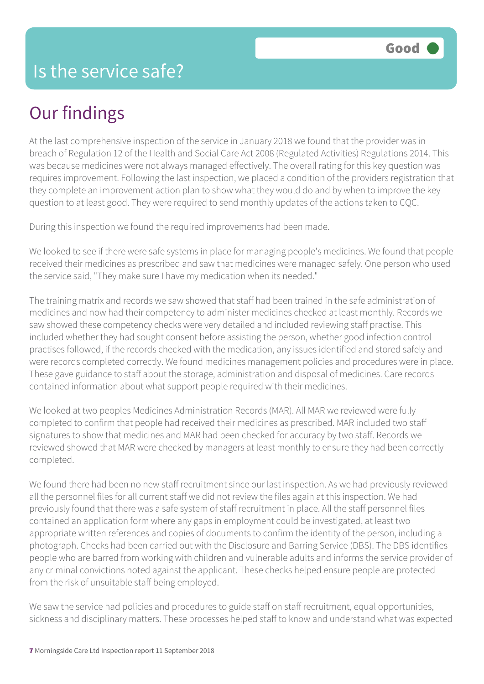## Our findings

At the last comprehensive inspection of the service in January 2018 we found that the provider was in breach of Regulation 12 of the Health and Social Care Act 2008 (Regulated Activities) Regulations 2014. This was because medicines were not always managed effectively. The overall rating for this key question was requires improvement. Following the last inspection, we placed a condition of the providers registration that they complete an improvement action plan to show what they would do and by when to improve the key question to at least good. They were required to send monthly updates of the actions taken to CQC.

During this inspection we found the required improvements had been made.

We looked to see if there were safe systems in place for managing people's medicines. We found that people received their medicines as prescribed and saw that medicines were managed safely. One person who used the service said, "They make sure I have my medication when its needed."

The training matrix and records we saw showed that staff had been trained in the safe administration of medicines and now had their competency to administer medicines checked at least monthly. Records we saw showed these competency checks were very detailed and included reviewing staff practise. This included whether they had sought consent before assisting the person, whether good infection control practises followed, if the records checked with the medication, any issues identified and stored safely and were records completed correctly. We found medicines management policies and procedures were in place. These gave guidance to staff about the storage, administration and disposal of medicines. Care records contained information about what support people required with their medicines.

We looked at two peoples Medicines Administration Records (MAR). All MAR we reviewed were fully completed to confirm that people had received their medicines as prescribed. MAR included two staff signatures to show that medicines and MAR had been checked for accuracy by two staff. Records we reviewed showed that MAR were checked by managers at least monthly to ensure they had been correctly completed.

We found there had been no new staff recruitment since our last inspection. As we had previously reviewed all the personnel files for all current staff we did not review the files again at this inspection. We had previously found that there was a safe system of staff recruitment in place. All the staff personnel files contained an application form where any gaps in employment could be investigated, at least two appropriate written references and copies of documents to confirm the identity of the person, including a photograph. Checks had been carried out with the Disclosure and Barring Service (DBS). The DBS identifies people who are barred from working with children and vulnerable adults and informs the service provider of any criminal convictions noted against the applicant. These checks helped ensure people are protected from the risk of unsuitable staff being employed.

We saw the service had policies and procedures to guide staff on staff recruitment, equal opportunities, sickness and disciplinary matters. These processes helped staff to know and understand what was expected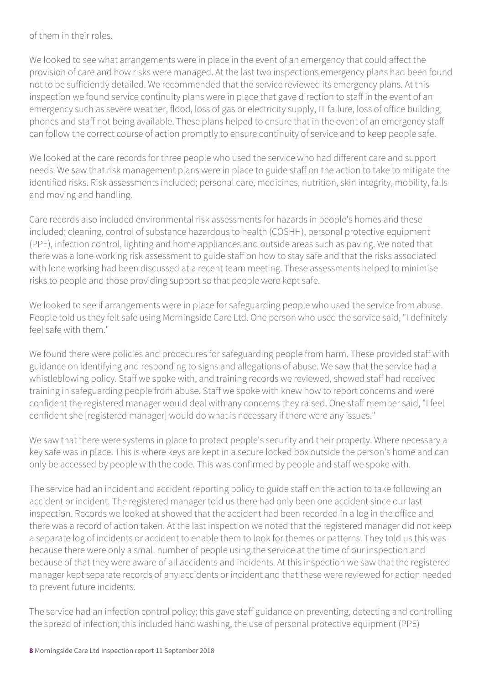of them in their roles.

We looked to see what arrangements were in place in the event of an emergency that could affect the provision of care and how risks were managed. At the last two inspections emergency plans had been found not to be sufficiently detailed. We recommended that the service reviewed its emergency plans. At this inspection we found service continuity plans were in place that gave direction to staff in the event of an emergency such as severe weather, flood, loss of gas or electricity supply, IT failure, loss of office building, phones and staff not being available. These plans helped to ensure that in the event of an emergency staff can follow the correct course of action promptly to ensure continuity of service and to keep people safe.

We looked at the care records for three people who used the service who had different care and support needs. We saw that risk management plans were in place to guide staff on the action to take to mitigate the identified risks. Risk assessments included; personal care, medicines, nutrition, skin integrity, mobility, falls and moving and handling.

Care records also included environmental risk assessments for hazards in people's homes and these included; cleaning, control of substance hazardous to health (COSHH), personal protective equipment (PPE), infection control, lighting and home appliances and outside areas such as paving. We noted that there was a lone working risk assessment to guide staff on how to stay safe and that the risks associated with lone working had been discussed at a recent team meeting. These assessments helped to minimise risks to people and those providing support so that people were kept safe.

We looked to see if arrangements were in place for safeguarding people who used the service from abuse. People told us they felt safe using Morningside Care Ltd. One person who used the service said, "I definitely feel safe with them."

We found there were policies and procedures for safeguarding people from harm. These provided staff with guidance on identifying and responding to signs and allegations of abuse. We saw that the service had a whistleblowing policy. Staff we spoke with, and training records we reviewed, showed staff had received training in safeguarding people from abuse. Staff we spoke with knew how to report concerns and were confident the registered manager would deal with any concerns they raised. One staff member said, "I feel confident she [registered manager] would do what is necessary if there were any issues."

We saw that there were systems in place to protect people's security and their property. Where necessary a key safe was in place. This is where keys are kept in a secure locked box outside the person's home and can only be accessed by people with the code. This was confirmed by people and staff we spoke with.

The service had an incident and accident reporting policy to guide staff on the action to take following an accident or incident. The registered manager told us there had only been one accident since our last inspection. Records we looked at showed that the accident had been recorded in a log in the office and there was a record of action taken. At the last inspection we noted that the registered manager did not keep a separate log of incidents or accident to enable them to look for themes or patterns. They told us this was because there were only a small number of people using the service at the time of our inspection and because of that they were aware of all accidents and incidents. At this inspection we saw that the registered manager kept separate records of any accidents or incident and that these were reviewed for action needed to prevent future incidents.

The service had an infection control policy; this gave staff guidance on preventing, detecting and controlling the spread of infection; this included hand washing, the use of personal protective equipment (PPE)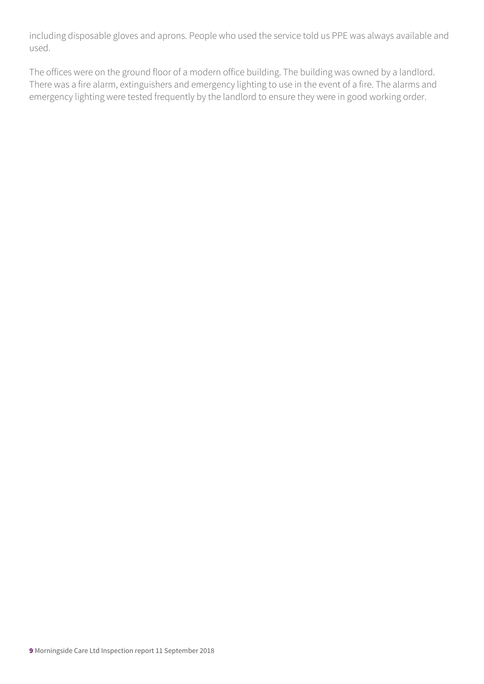including disposable gloves and aprons. People who used the service told us PPE was always available and used.

The offices were on the ground floor of a modern office building. The building was owned by a landlord. There was a fire alarm, extinguishers and emergency lighting to use in the event of a fire. The alarms and emergency lighting were tested frequently by the landlord to ensure they were in good working order.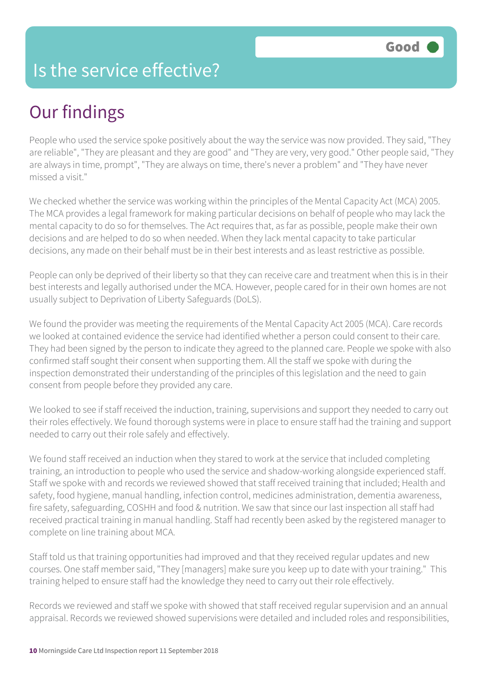#### Is the service effective?

## Our findings

People who used the service spoke positively about the way the service was now provided. They said, "They are reliable", "They are pleasant and they are good" and "They are very, very good." Other people said, "They are always in time, prompt", "They are always on time, there's never a problem" and "They have never missed a visit."

We checked whether the service was working within the principles of the Mental Capacity Act (MCA) 2005. The MCA provides a legal framework for making particular decisions on behalf of people who may lack the mental capacity to do so for themselves. The Act requires that, as far as possible, people make their own decisions and are helped to do so when needed. When they lack mental capacity to take particular decisions, any made on their behalf must be in their best interests and as least restrictive as possible.

People can only be deprived of their liberty so that they can receive care and treatment when this is in their best interests and legally authorised under the MCA. However, people cared for in their own homes are not usually subject to Deprivation of Liberty Safeguards (DoLS).

We found the provider was meeting the requirements of the Mental Capacity Act 2005 (MCA). Care records we looked at contained evidence the service had identified whether a person could consent to their care. They had been signed by the person to indicate they agreed to the planned care. People we spoke with also confirmed staff sought their consent when supporting them. All the staff we spoke with during the inspection demonstrated their understanding of the principles of this legislation and the need to gain consent from people before they provided any care.

We looked to see if staff received the induction, training, supervisions and support they needed to carry out their roles effectively. We found thorough systems were in place to ensure staff had the training and support needed to carry out their role safely and effectively.

We found staff received an induction when they stared to work at the service that included completing training, an introduction to people who used the service and shadow-working alongside experienced staff. Staff we spoke with and records we reviewed showed that staff received training that included; Health and safety, food hygiene, manual handling, infection control, medicines administration, dementia awareness, fire safety, safeguarding, COSHH and food & nutrition. We saw that since our last inspection all staff had received practical training in manual handling. Staff had recently been asked by the registered manager to complete on line training about MCA.

Staff told us that training opportunities had improved and that they received regular updates and new courses. One staff member said, "They [managers] make sure you keep up to date with your training." This training helped to ensure staff had the knowledge they need to carry out their role effectively.

Records we reviewed and staff we spoke with showed that staff received regular supervision and an annual appraisal. Records we reviewed showed supervisions were detailed and included roles and responsibilities,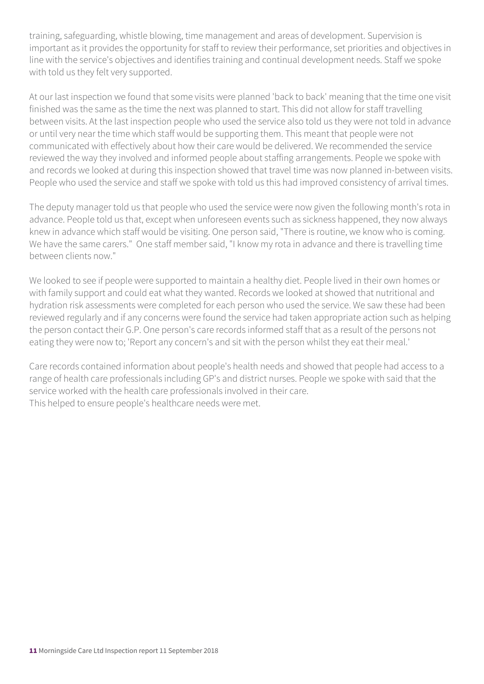training, safeguarding, whistle blowing, time management and areas of development. Supervision is important as it provides the opportunity for staff to review their performance, set priorities and objectives in line with the service's objectives and identifies training and continual development needs. Staff we spoke with told us they felt very supported.

At our last inspection we found that some visits were planned 'back to back' meaning that the time one visit finished was the same as the time the next was planned to start. This did not allow for staff travelling between visits. At the last inspection people who used the service also told us they were not told in advance or until very near the time which staff would be supporting them. This meant that people were not communicated with effectively about how their care would be delivered. We recommended the service reviewed the way they involved and informed people about staffing arrangements. People we spoke with and records we looked at during this inspection showed that travel time was now planned in-between visits. People who used the service and staff we spoke with told us this had improved consistency of arrival times.

The deputy manager told us that people who used the service were now given the following month's rota in advance. People told us that, except when unforeseen events such as sickness happened, they now always knew in advance which staff would be visiting. One person said, "There is routine, we know who is coming. We have the same carers." One staff member said, "I know my rota in advance and there is travelling time between clients now."

We looked to see if people were supported to maintain a healthy diet. People lived in their own homes or with family support and could eat what they wanted. Records we looked at showed that nutritional and hydration risk assessments were completed for each person who used the service. We saw these had been reviewed regularly and if any concerns were found the service had taken appropriate action such as helping the person contact their G.P. One person's care records informed staff that as a result of the persons not eating they were now to; 'Report any concern's and sit with the person whilst they eat their meal.'

Care records contained information about people's health needs and showed that people had access to a range of health care professionals including GP's and district nurses. People we spoke with said that the service worked with the health care professionals involved in their care. This helped to ensure people's healthcare needs were met.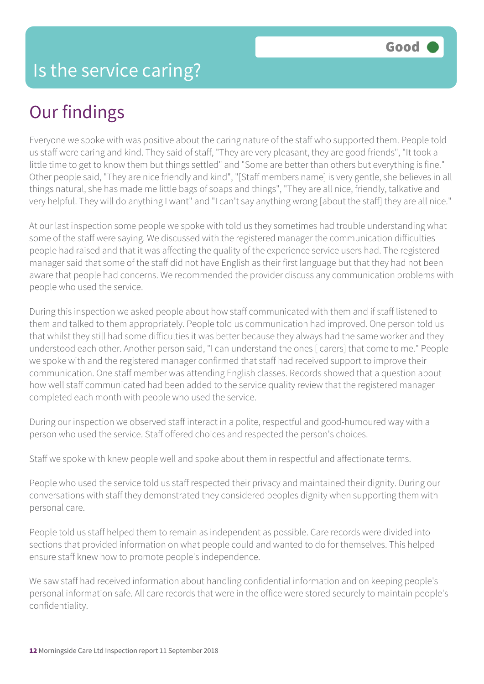## Our findings

Everyone we spoke with was positive about the caring nature of the staff who supported them. People told us staff were caring and kind. They said of staff, "They are very pleasant, they are good friends", "It took a little time to get to know them but things settled" and "Some are better than others but everything is fine." Other people said, "They are nice friendly and kind", "[Staff members name] is very gentle, she believes in all things natural, she has made me little bags of soaps and things", "They are all nice, friendly, talkative and very helpful. They will do anything I want" and "I can't say anything wrong [about the staff] they are all nice."

At our last inspection some people we spoke with told us they sometimes had trouble understanding what some of the staff were saying. We discussed with the registered manager the communication difficulties people had raised and that it was affecting the quality of the experience service users had. The registered manager said that some of the staff did not have English as their first language but that they had not been aware that people had concerns. We recommended the provider discuss any communication problems with people who used the service.

During this inspection we asked people about how staff communicated with them and if staff listened to them and talked to them appropriately. People told us communication had improved. One person told us that whilst they still had some difficulties it was better because they always had the same worker and they understood each other. Another person said, "I can understand the ones [ carers] that come to me." People we spoke with and the registered manager confirmed that staff had received support to improve their communication. One staff member was attending English classes. Records showed that a question about how well staff communicated had been added to the service quality review that the registered manager completed each month with people who used the service.

During our inspection we observed staff interact in a polite, respectful and good-humoured way with a person who used the service. Staff offered choices and respected the person's choices.

Staff we spoke with knew people well and spoke about them in respectful and affectionate terms.

People who used the service told us staff respected their privacy and maintained their dignity. During our conversations with staff they demonstrated they considered peoples dignity when supporting them with personal care.

People told us staff helped them to remain as independent as possible. Care records were divided into sections that provided information on what people could and wanted to do for themselves. This helped ensure staff knew how to promote people's independence.

We saw staff had received information about handling confidential information and on keeping people's personal information safe. All care records that were in the office were stored securely to maintain people's confidentiality.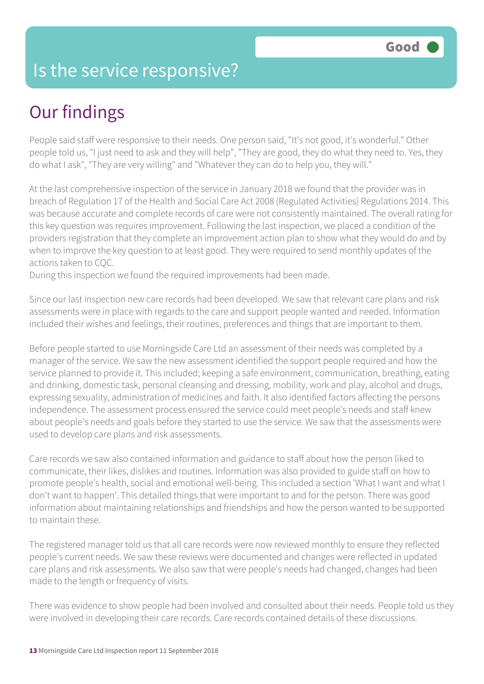#### Is the service responsive?

## Our findings

People said staff were responsive to their needs. One person said, "It's not good, it's wonderful." Other people told us, "I just need to ask and they will help", "They are good, they do what they need to. Yes, they do what I ask", "They are very willing" and "Whatever they can do to help you, they will."

At the last comprehensive inspection of the service in January 2018 we found that the provider was in breach of Regulation 17 of the Health and Social Care Act 2008 (Regulated Activities) Regulations 2014. This was because accurate and complete records of care were not consistently maintained. The overall rating for this key question was requires improvement. Following the last inspection, we placed a condition of the providers registration that they complete an improvement action plan to show what they would do and by when to improve the key question to at least good. They were required to send monthly updates of the actions taken to CQC.

During this inspection we found the required improvements had been made.

Since our last inspection new care records had been developed. We saw that relevant care plans and risk assessments were in place with regards to the care and support people wanted and needed. Information included their wishes and feelings, their routines, preferences and things that are important to them.

Before people started to use Morningside Care Ltd an assessment of their needs was completed by a manager of the service. We saw the new assessment identified the support people required and how the service planned to provide it. This included; keeping a safe environment, communication, breathing, eating and drinking, domestic task, personal cleansing and dressing, mobility, work and play, alcohol and drugs, expressing sexuality, administration of medicines and faith. It also identified factors affecting the persons independence. The assessment process ensured the service could meet people's needs and staff knew about people's needs and goals before they started to use the service. We saw that the assessments were used to develop care plans and risk assessments.

Care records we saw also contained information and guidance to staff about how the person liked to communicate, their likes, dislikes and routines. Information was also provided to guide staff on how to promote people's health, social and emotional well-being. This included a section 'What I want and what I don't want to happen'. This detailed things that were important to and for the person. There was good information about maintaining relationships and friendships and how the person wanted to be supported to maintain these.

The registered manager told us that all care records were now reviewed monthly to ensure they reflected people's current needs. We saw these reviews were documented and changes were reflected in updated care plans and risk assessments. We also saw that were people's needs had changed, changes had been made to the length or frequency of visits.

There was evidence to show people had been involved and consulted about their needs. People told us they were involved in developing their care records. Care records contained details of these discussions.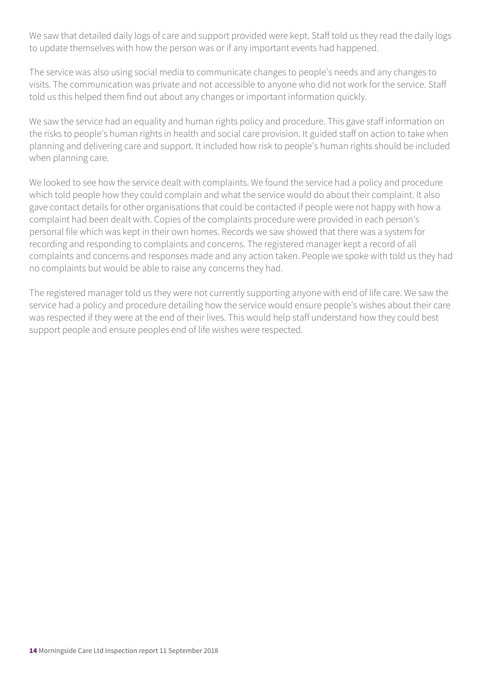We saw that detailed daily logs of care and support provided were kept. Staff told us they read the daily logs to update themselves with how the person was or if any important events had happened.

The service was also using social media to communicate changes to people's needs and any changes to visits. The communication was private and not accessible to anyone who did not work for the service. Staff told us this helped them find out about any changes or important information quickly.

We saw the service had an equality and human rights policy and procedure. This gave staff information on the risks to people's human rights in health and social care provision. It guided staff on action to take when planning and delivering care and support. It included how risk to people's human rights should be included when planning care.

We looked to see how the service dealt with complaints. We found the service had a policy and procedure which told people how they could complain and what the service would do about their complaint. It also gave contact details for other organisations that could be contacted if people were not happy with how a complaint had been dealt with. Copies of the complaints procedure were provided in each person's personal file which was kept in their own homes. Records we saw showed that there was a system for recording and responding to complaints and concerns. The registered manager kept a record of all complaints and concerns and responses made and any action taken. People we spoke with told us they had no complaints but would be able to raise any concerns they had.

The registered manager told us they were not currently supporting anyone with end of life care. We saw the service had a policy and procedure detailing how the service would ensure people's wishes about their care was respected if they were at the end of their lives. This would help staff understand how they could best support people and ensure peoples end of life wishes were respected.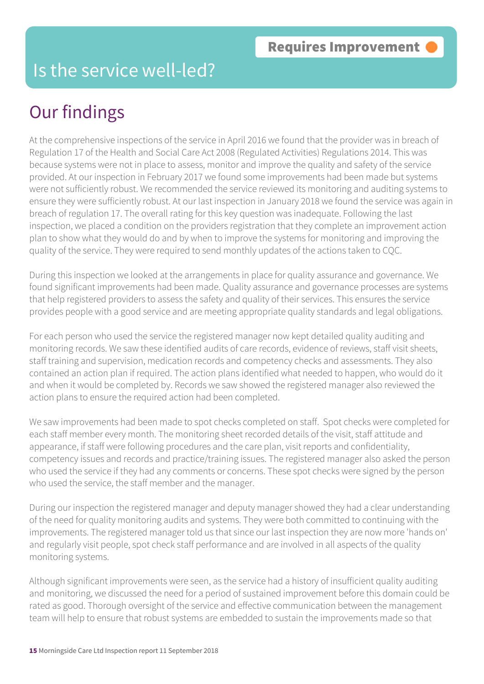#### Is the service well-led?

## Our findings

At the comprehensive inspections of the service in April 2016 we found that the provider was in breach of Regulation 17 of the Health and Social Care Act 2008 (Regulated Activities) Regulations 2014. This was because systems were not in place to assess, monitor and improve the quality and safety of the service provided. At our inspection in February 2017 we found some improvements had been made but systems were not sufficiently robust. We recommended the service reviewed its monitoring and auditing systems to ensure they were sufficiently robust. At our last inspection in January 2018 we found the service was again in breach of regulation 17. The overall rating for this key question was inadequate. Following the last inspection, we placed a condition on the providers registration that they complete an improvement action plan to show what they would do and by when to improve the systems for monitoring and improving the quality of the service. They were required to send monthly updates of the actions taken to CQC.

During this inspection we looked at the arrangements in place for quality assurance and governance. We found significant improvements had been made. Quality assurance and governance processes are systems that help registered providers to assess the safety and quality of their services. This ensures the service provides people with a good service and are meeting appropriate quality standards and legal obligations.

For each person who used the service the registered manager now kept detailed quality auditing and monitoring records. We saw these identified audits of care records, evidence of reviews, staff visit sheets, staff training and supervision, medication records and competency checks and assessments. They also contained an action plan if required. The action plans identified what needed to happen, who would do it and when it would be completed by. Records we saw showed the registered manager also reviewed the action plans to ensure the required action had been completed.

We saw improvements had been made to spot checks completed on staff. Spot checks were completed for each staff member every month. The monitoring sheet recorded details of the visit, staff attitude and appearance, if staff were following procedures and the care plan, visit reports and confidentiality, competency issues and records and practice/training issues. The registered manager also asked the person who used the service if they had any comments or concerns. These spot checks were signed by the person who used the service, the staff member and the manager.

During our inspection the registered manager and deputy manager showed they had a clear understanding of the need for quality monitoring audits and systems. They were both committed to continuing with the improvements. The registered manager told us that since our last inspection they are now more 'hands on' and regularly visit people, spot check staff performance and are involved in all aspects of the quality monitoring systems.

Although significant improvements were seen, as the service had a history of insufficient quality auditing and monitoring, we discussed the need for a period of sustained improvement before this domain could be rated as good. Thorough oversight of the service and effective communication between the management team will help to ensure that robust systems are embedded to sustain the improvements made so that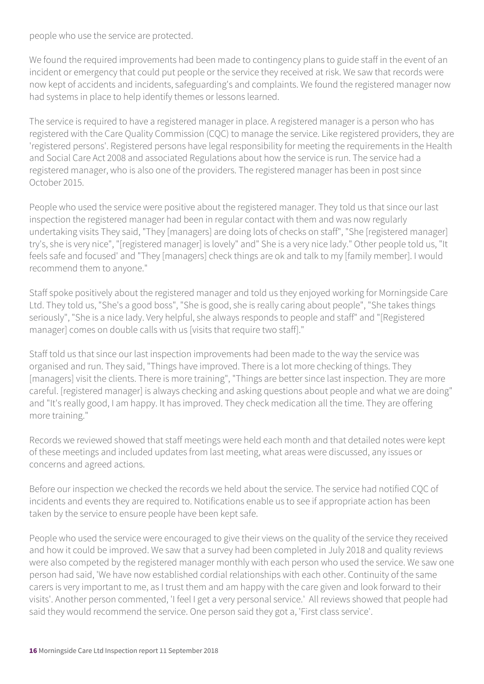people who use the service are protected.

We found the required improvements had been made to contingency plans to guide staff in the event of an incident or emergency that could put people or the service they received at risk. We saw that records were now kept of accidents and incidents, safeguarding's and complaints. We found the registered manager now had systems in place to help identify themes or lessons learned.

The service is required to have a registered manager in place. A registered manager is a person who has registered with the Care Quality Commission (CQC) to manage the service. Like registered providers, they are 'registered persons'. Registered persons have legal responsibility for meeting the requirements in the Health and Social Care Act 2008 and associated Regulations about how the service is run. The service had a registered manager, who is also one of the providers. The registered manager has been in post since October 2015.

People who used the service were positive about the registered manager. They told us that since our last inspection the registered manager had been in regular contact with them and was now regularly undertaking visits They said, "They [managers] are doing lots of checks on staff", "She [registered manager] try's, she is very nice", "[registered manager] is lovely" and" She is a very nice lady." Other people told us, "It feels safe and focused' and "They [managers] check things are ok and talk to my [family member]. I would recommend them to anyone."

Staff spoke positively about the registered manager and told us they enjoyed working for Morningside Care Ltd. They told us, "She's a good boss", "She is good, she is really caring about people", "She takes things seriously", "She is a nice lady. Very helpful, she always responds to people and staff" and "[Registered manager] comes on double calls with us [visits that require two staff]."

Staff told us that since our last inspection improvements had been made to the way the service was organised and run. They said, "Things have improved. There is a lot more checking of things. They [managers] visit the clients. There is more training", "Things are better since last inspection. They are more careful. [registered manager] is always checking and asking questions about people and what we are doing" and "It's really good, I am happy. It has improved. They check medication all the time. They are offering more training."

Records we reviewed showed that staff meetings were held each month and that detailed notes were kept of these meetings and included updates from last meeting, what areas were discussed, any issues or concerns and agreed actions.

Before our inspection we checked the records we held about the service. The service had notified CQC of incidents and events they are required to. Notifications enable us to see if appropriate action has been taken by the service to ensure people have been kept safe.

People who used the service were encouraged to give their views on the quality of the service they received and how it could be improved. We saw that a survey had been completed in July 2018 and quality reviews were also competed by the registered manager monthly with each person who used the service. We saw one person had said, 'We have now established cordial relationships with each other. Continuity of the same carers is very important to me, as I trust them and am happy with the care given and look forward to their visits'. Another person commented, 'I feel I get a very personal service.' All reviews showed that people had said they would recommend the service. One person said they got a, 'First class service'.